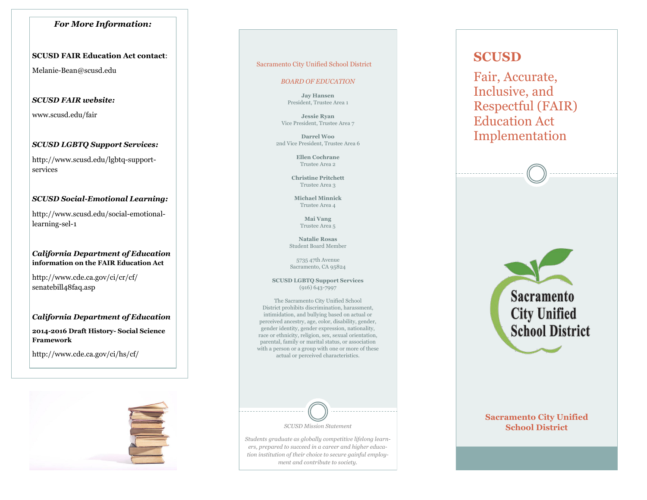# *For More Information:*

# **SCUSD FAIR Education Act contact**:

Melanie-Bean@scusd.edu

# *SCUSD FAIR website:*

www.scusd.edu/fair

# *SCUSD LGBTQ Support Services:*

http://www.scusd.edu/lgbtq-supportservices

# *SCUSD Social-Emotional Learning:*

http://www.scusd.edu/social-emotionallearning-sel-1

# *California Department of Education* **information on the FAIR Education Act**

http://www.cde.ca.gov/ci/cr/cf/ senatebill48faq.asp

# *California Department of Education*

**2014-2016 Draft History- Social Science Framework** 

http://www.cde.ca.gov/ci/hs/cf/



### Sacramento City Unified School District

### *BOARD OF EDUCATION*

**Jay Hansen**  President, Trustee Area 1

**Jessie Ryan**  Vice President, Trustee Area 7

**Darrel Woo**  2nd Vice President, Trustee Area 6

> **Ellen Cochrane**  Trustee Area 2

**Christine Pritchett**  Trustee Area 3

**Michael Minnick**  Trustee Area 4

> **Mai Vang**  Trustee Area 5

**Natalie Rosas**  Student Board Member

5735 47th Avenue Sacramento, CA 95824

**SCUSD LGBTQ Support Services**  (916) 643-7997

The Sacramento City Unified School District prohibits discrimination, harassment, intimidation, and bullying based on actual or perceived ancestry, age, color, disability, gender, gender identity, gender expression, nationality, race or ethnicity, religion, sex, sexual orientation, parental, family or marital status, or association with a person or a group with one or more of these actual or perceived characteristics.



*Students graduate as globally competitive lifelong learners, prepared to succeed in a career and higher education institution of their choice to secure gainful employment and contribute to society.* 

# **SCUSD**

Fair, Accurate, Inclusive, and Respectful (FAIR) Education Act Implementation



# **Sacramento City Unified School District**